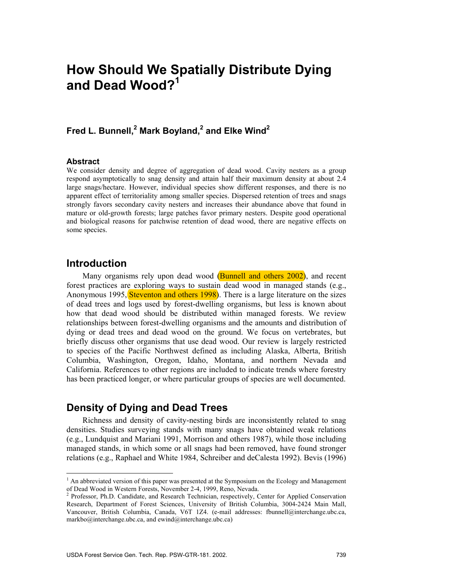# **How Should We Spatially Distribute Dying and Dead Wood?1**

### Fred L. Bunnell,<sup>2</sup> Mark Boyland,<sup>2</sup> and Elke Wind<sup>2</sup>

#### **Abstract**

We consider density and degree of aggregation of dead wood. Cavity nesters as a group respond asymptotically to snag density and attain half their maximum density at about 2.4 large snags/hectare. However, individual species show different responses, and there is no apparent effect of territoriality among smaller species. Dispersed retention of trees and snags strongly favors secondary cavity nesters and increases their abundance above that found in mature or old-growth forests; large patches favor primary nesters. Despite good operational and biological reasons for patchwise retention of dead wood, there are negative effects on some species.

### **Introduction**

Many organisms rely upon dead wood (Bunnell and others 2002), and recent forest practices are exploring ways to sustain dead wood in managed stands (e.g., Anonymous 1995, Steventon and others 1998). There is a large literature on the sizes of dead trees and logs used by forest-dwelling organisms, but less is known about how that dead wood should be distributed within managed forests. We review relationships between forest-dwelling organisms and the amounts and distribution of dying or dead trees and dead wood on the ground. We focus on vertebrates, but briefly discuss other organisms that use dead wood. Our review is largely restricted to species of the Pacific Northwest defined as including Alaska, Alberta, British Columbia, Washington, Oregon, Idaho, Montana, and northern Nevada and California. References to other regions are included to indicate trends where forestry has been practiced longer, or where particular groups of species are well documented.

### **Density of Dying and Dead Trees**

Richness and density of cavity-nesting birds are inconsistently related to snag densities. Studies surveying stands with many snags have obtained weak relations (e.g., Lundquist and Mariani 1991, Morrison and others 1987), while those including managed stands, in which some or all snags had been removed, have found stronger relations (e.g., Raphael and White 1984, Schreiber and deCalesta 1992). Bevis (1996)

<sup>&</sup>lt;sup>1</sup> An abbreviated version of this paper was presented at the Symposium on the Ecology and Management

of Dead Wood in Western Forests, November 2-4, 1999, Reno, Nevada.<br><sup>2</sup> Professor, Ph.D. Candidate, and Research Technician, respectively, Center for Applied Conservation Research, Department of Forest Sciences, University of British Columbia, 3004-2424 Main Mall, Vancouver, British Columbia, Canada, V6T 1Z4. (e-mail addresses: fbunnell@interchange.ubc.ca, markbo@interchange.ubc.ca, and ewind@interchange.ubc.ca)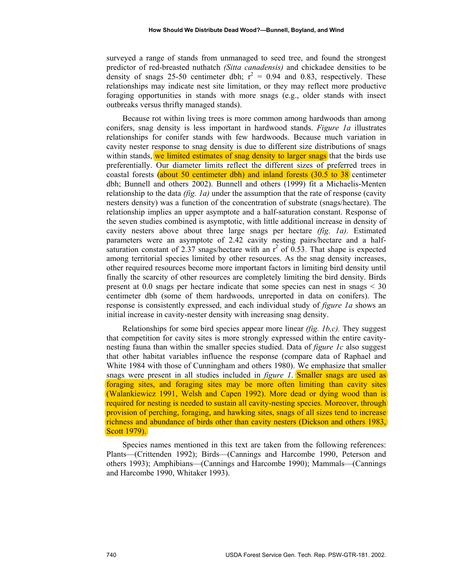surveyed a range of stands from unmanaged to seed tree, and found the strongest predictor of red-breasted nuthatch *(Sitta canadensis)* and chickadee densities to be density of snags 25-50 centimeter dbh;  $r^2 = 0.94$  and 0.83, respectively. These relationships may indicate nest site limitation, or they may reflect more productive foraging opportunities in stands with more snags (e.g., older stands with insect outbreaks versus thrifty managed stands).

Because rot within living trees is more common among hardwoods than among conifers, snag density is less important in hardwood stands. *Figure 1a* illustrates relationships for conifer stands with few hardwoods. Because much variation in cavity nester response to snag density is due to different size distributions of snags within stands, we limited estimates of snag density to larger snags that the birds use preferentially. Our diameter limits reflect the different sizes of preferred trees in coastal forests (about 50 centimeter dbh) and inland forests (30.5 to 38 centimeter dbh; Bunnell and others 2002). Bunnell and others (1999) fit a Michaelis-Menten relationship to the data *(fig. 1a)* under the assumption that the rate of response (cavity nesters density) was a function of the concentration of substrate (snags/hectare). The relationship implies an upper asymptote and a half-saturation constant. Response of the seven studies combined is asymptotic, with little additional increase in density of cavity nesters above about three large snags per hectare *(fig. 1a).* Estimated parameters were an asymptote of 2.42 cavity nesting pairs/hectare and a halfsaturation constant of 2.37 snags/hectare with an  $r^2$  of 0.53. That shape is expected among territorial species limited by other resources. As the snag density increases, other required resources become more important factors in limiting bird density until finally the scarcity of other resources are completely limiting the bird density. Birds present at 0.0 snags per hectare indicate that some species can nest in snags < 30 centimeter dbh (some of them hardwoods, unreported in data on conifers). The response is consistently expressed, and each individual study of *figure 1a* shows an initial increase in cavity-nester density with increasing snag density.

Relationships for some bird species appear more linear *(fig. 1b,c).* They suggest that competition for cavity sites is more strongly expressed within the entire cavitynesting fauna than within the smaller species studied. Data of *figure 1c* also suggest that other habitat variables influence the response (compare data of Raphael and White 1984 with those of Cunningham and others 1980). We emphasize that smaller snags were present in all studies included in *figure 1*. **Smaller snags are used as** foraging sites, and foraging sites may be more often limiting than cavity sites (Walankiewicz 1991, Welsh and Capen 1992). More dead or dying wood than is required for nesting is needed to sustain all cavity-nesting species. Moreover, through provision of perching, foraging, and hawking sites, snags of all sizes tend to increase richness and abundance of birds other than cavity nesters (Dickson and others 1983, Scott 1979).

Species names mentioned in this text are taken from the following references: Plants—(Crittenden 1992); Birds—(Cannings and Harcombe 1990, Peterson and others 1993); Amphibians—(Cannings and Harcombe 1990); Mammals—(Cannings and Harcombe 1990, Whitaker 1993).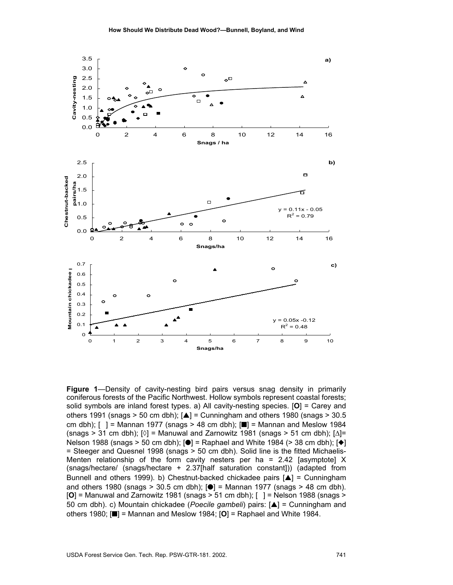

**Figure 1**—Density of cavity-nesting bird pairs versus snag density in primarily coniferous forests of the Pacific Northwest. Hollow symbols represent coastal forests; solid symbols are inland forest types. a) All cavity-nesting species. [**O**] = Carey and others 1991 (snags > 50 cm dbh);  $\Delta$ ] = Cunningham and others 1980 (snags > 30.5 cm dbh);  $[$  ] = Mannan 1977 (snags > 48 cm dbh);  $[$  = Mannan and Meslow 1984  $(\text{snaqs} > 31 \text{ cm dbh})$ ;  $[\textcircled{\text{1}}] = \text{Manual}$  and Zarnowitz 1981 (snags > 51 cm dbh);  $[\textcircled{\text{1}}] =$ Nelson 1988 (snags > 50 cm dbh);  $\left| \bullet \right|$  = Raphael and White 1984 (> 38 cm dbh);  $\left| \bullet \right|$ = Steeger and Quesnel 1998 (snags > 50 cm dbh). Solid line is the fitted Michaelis-Menten relationship of the form cavity nesters per ha = 2.42 [asymptote]  $X$ (snags/hectare/ (snags/hectare + 2.37[half saturation constant])) (adapted from Bunnell and others 1999). b) Chestnut-backed chickadee pairs  $[\triangle]$  = Cunningham and others 1980 (snags > 30.5 cm dbh);  $\left[ \bullet \right]$  = Mannan 1977 (snags > 48 cm dbh). [**O**] = Manuwal and Zarnowitz 1981 (snags > 51 cm dbh); [] = Nelson 1988 (snags > 50 cm dbh). c) Mountain chickadee (*Poecile gambeli*) pairs: [▲] = Cunningham and others 1980; [■] = Mannan and Meslow 1984; [**O**] = Raphael and White 1984.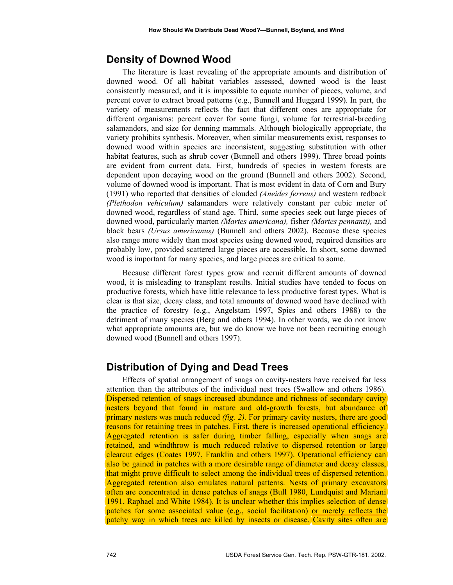### **Density of Downed Wood**

The literature is least revealing of the appropriate amounts and distribution of downed wood. Of all habitat variables assessed, downed wood is the least consistently measured, and it is impossible to equate number of pieces, volume, and percent cover to extract broad patterns (e.g., Bunnell and Huggard 1999). In part, the variety of measurements reflects the fact that different ones are appropriate for different organisms: percent cover for some fungi, volume for terrestrial-breeding salamanders, and size for denning mammals. Although biologically appropriate, the variety prohibits synthesis. Moreover, when similar measurements exist, responses to downed wood within species are inconsistent, suggesting substitution with other habitat features, such as shrub cover (Bunnell and others 1999). Three broad points are evident from current data. First, hundreds of species in western forests are dependent upon decaying wood on the ground (Bunnell and others 2002). Second, volume of downed wood is important. That is most evident in data of Corn and Bury (1991) who reported that densities of clouded *(Aneides ferreus)* and western redback *(Plethodon vehiculum)* salamanders were relatively constant per cubic meter of downed wood, regardless of stand age. Third, some species seek out large pieces of downed wood, particularly marten *(Martes americana),* fisher *(Martes pennanti),* and black bears *(Ursus americanus)* (Bunnell and others 2002). Because these species also range more widely than most species using downed wood, required densities are probably low, provided scattered large pieces are accessible. In short, some downed wood is important for many species, and large pieces are critical to some.

Because different forest types grow and recruit different amounts of downed wood, it is misleading to transplant results. Initial studies have tended to focus on productive forests, which have little relevance to less productive forest types. What is clear is that size, decay class, and total amounts of downed wood have declined with the practice of forestry (e.g., Angelstam 1997, Spies and others 1988) to the detriment of many species (Berg and others 1994). In other words, we do not know what appropriate amounts are, but we do know we have not been recruiting enough downed wood (Bunnell and others 1997).

## **Distribution of Dying and Dead Trees**

Effects of spatial arrangement of snags on cavity-nesters have received far less attention than the attributes of the individual nest trees (Swallow and others 1986). Dispersed retention of snags increased abundance and richness of secondary cavity nesters beyond that found in mature and old-growth forests, but abundance of primary nesters was much reduced *(fig. 2).* For primary cavity nesters, there are good reasons for retaining trees in patches. First, there is increased operational efficiency. Aggregated retention is safer during timber falling, especially when snags are retained, and windthrow is much reduced relative to dispersed retention or large clearcut edges (Coates 1997, Franklin and others 1997). Operational efficiency can also be gained in patches with a more desirable range of diameter and decay classes, that might prove difficult to select among the individual trees of dispersed retention. Aggregated retention also emulates natural patterns. Nests of primary excavators often are concentrated in dense patches of snags (Bull 1980, Lundquist and Mariani 1991, Raphael and White 1984). It is unclear whether this implies selection of dense patches for some associated value (e.g., social facilitation) or merely reflects the patchy way in which trees are killed by insects or disease. Cavity sites often are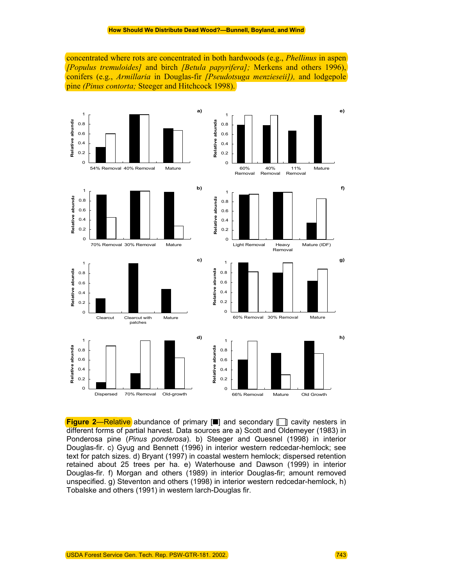concentrated where rots are concentrated in both hardwoods (e.g., *Phellinus* in aspen *[Populus tremuloides]* and birch *[Betula papyrifera];* Merkens and others 1996), conifers (e.g., *Armillaria* in Douglas-fir *[Pseudotsuga menzieseii]),* and lodgepole pine *(Pinus contorta;* Steeger and Hitchcock 1998).



**Figure 2—Relative** abundance of primary [■] and secondary [□] cavity nesters in different forms of partial harvest. Data sources are a) Scott and Oldemeyer (1983) in Ponderosa pine (*Pinus ponderosa*). b) Steeger and Quesnel (1998) in interior Douglas-fir. c) Gyug and Bennett (1996) in interior western redcedar-hemlock; see text for patch sizes. d) Bryant (1997) in coastal western hemlock; dispersed retention retained about 25 trees per ha. e) Waterhouse and Dawson (1999) in interior Douglas-fir. f) Morgan and others (1989) in interior Douglas-fir; amount removed unspecified. g) Steventon and others (1998) in interior western redcedar-hemlock, h) Tobalske and others (1991) in western larch-Douglas fir.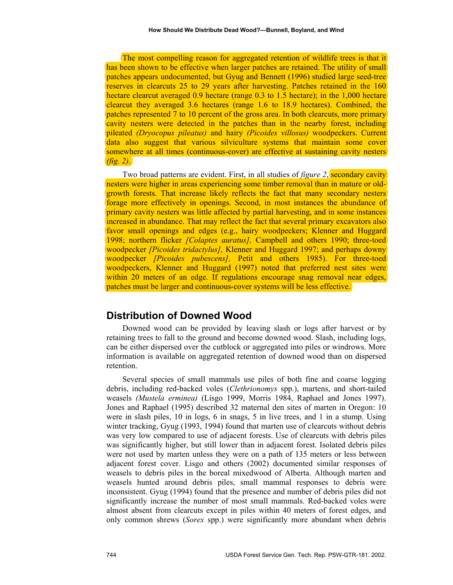The most compelling reason for aggregated retention of wildlife trees is that it has been shown to be effective when larger patches are retained. The utility of small patches appears undocumented, but Gyug and Bennett (1996) studied large seed-tree reserves in clearcuts 25 to 29 years after harvesting. Patches retained in the 160 hectare clearcut averaged 0.9 hectare (range 0.3 to 1.5 hectare); in the 1,000 hectare clearcut they averaged 3.6 hectares (range 1.6 to 18.9 hectares). Combined, the patches represented 7 to 10 percent of the gross area. In both clearcuts, more primary cavity nesters were detected in the patches than in the nearby forest, including pileated *(Dryocopus pileatus)* and hairy *(Picoides villosus)* woodpeckers. Current data also suggest that various silviculture systems that maintain some cover somewhere at all times (continuous-cover) are effective at sustaining cavity nesters *(fig. 2).*

Two broad patterns are evident. First, in all studies of *figure 2*, secondary cavity nesters were higher in areas experiencing some timber removal than in mature or oldgrowth forests. That increase likely reflects the fact that many secondary nesters forage more effectively in openings. Second, in most instances the abundance of primary cavity nesters was little affected by partial harvesting, and in some instances increased in abundance. That may reflect the fact that several primary excavators also favor small openings and edges (e.g., hairy woodpeckers; Klenner and Huggard 1998; northern flicker *[Colaptes auratus],* Campbell and others 1990; three-toed woodpecker *[Picoides tridactylus],* Klenner and Huggard 1997; and perhaps downy woodpecker *[Picoides pubescens],* Petit and others 1985). For three-toed woodpeckers, Klenner and Huggard (1997) noted that preferred nest sites were within 20 meters of an edge. If regulations encourage snag removal near edges, patches must be larger and continuous-cover systems will be less effective.

### **Distribution of Downed Wood**

Downed wood can be provided by leaving slash or logs after harvest or by retaining trees to fall to the ground and become downed wood. Slash, including logs, can be either dispersed over the cutblock or aggregated into piles or windrows. More information is available on aggregated retention of downed wood than on dispersed retention.

Several species of small mammals use piles of both fine and coarse logging debris, including red-backed voles (*Clethrionomys* spp.), martens, and short-tailed weasels *(Mustela erminea)* (Lisgo 1999, Morris 1984, Raphael and Jones 1997). Jones and Raphael (1995) described 32 maternal den sites of marten in Oregon: 10 were in slash piles, 10 in logs, 6 in snags, 5 in live trees, and 1 in a stump. Using winter tracking, Gyug (1993, 1994) found that marten use of clearcuts without debris was very low compared to use of adjacent forests. Use of clearcuts with debris piles was significantly higher, but still lower than in adjacent forest. Isolated debris piles were not used by marten unless they were on a path of 135 meters or less between adjacent forest cover. Lisgo and others (2002) documented similar responses of weasels to debris piles in the boreal mixedwood of Alberta. Although marten and weasels hunted around debris piles, small mammal responses to debris were inconsistent. Gyug (1994) found that the presence and number of debris piles did not significantly increase the number of most small mammals. Red-backed voles were almost absent from clearcuts except in piles within 40 meters of forest edges, and only common shrews (*Sorex* spp.) were significantly more abundant when debris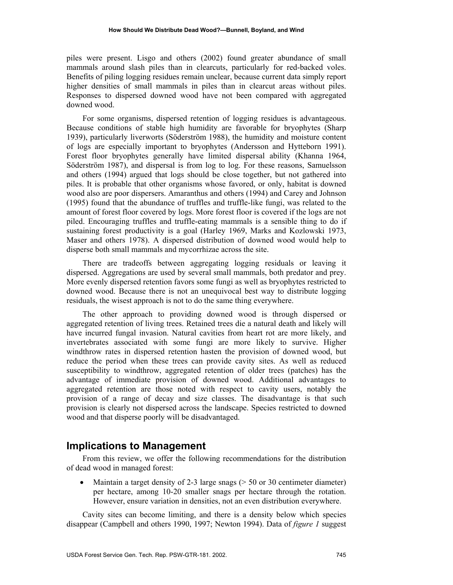piles were present. Lisgo and others (2002) found greater abundance of small mammals around slash piles than in clearcuts, particularly for red-backed voles. Benefits of piling logging residues remain unclear, because current data simply report higher densities of small mammals in piles than in clearcut areas without piles. Responses to dispersed downed wood have not been compared with aggregated downed wood.

For some organisms, dispersed retention of logging residues is advantageous. Because conditions of stable high humidity are favorable for bryophytes (Sharp 1939), particularly liverworts (Söderström 1988), the humidity and moisture content of logs are especially important to bryophytes (Andersson and Hytteborn 1991). Forest floor bryophytes generally have limited dispersal ability (Khanna 1964, Söderström 1987), and dispersal is from log to log. For these reasons, Samuelsson and others (1994) argued that logs should be close together, but not gathered into piles. It is probable that other organisms whose favored, or only, habitat is downed wood also are poor dispersers. Amaranthus and others (1994) and Carey and Johnson (1995) found that the abundance of truffles and truffle-like fungi, was related to the amount of forest floor covered by logs. More forest floor is covered if the logs are not piled. Encouraging truffles and truffle-eating mammals is a sensible thing to do if sustaining forest productivity is a goal (Harley 1969, Marks and Kozlowski 1973, Maser and others 1978). A dispersed distribution of downed wood would help to disperse both small mammals and mycorrhizae across the site.

There are tradeoffs between aggregating logging residuals or leaving it dispersed. Aggregations are used by several small mammals, both predator and prey. More evenly dispersed retention favors some fungi as well as bryophytes restricted to downed wood. Because there is not an unequivocal best way to distribute logging residuals, the wisest approach is not to do the same thing everywhere.

The other approach to providing downed wood is through dispersed or aggregated retention of living trees. Retained trees die a natural death and likely will have incurred fungal invasion. Natural cavities from heart rot are more likely, and invertebrates associated with some fungi are more likely to survive. Higher windthrow rates in dispersed retention hasten the provision of downed wood, but reduce the period when these trees can provide cavity sites. As well as reduced susceptibility to windthrow, aggregated retention of older trees (patches) has the advantage of immediate provision of downed wood. Additional advantages to aggregated retention are those noted with respect to cavity users, notably the provision of a range of decay and size classes. The disadvantage is that such provision is clearly not dispersed across the landscape. Species restricted to downed wood and that disperse poorly will be disadvantaged.

#### **Implications to Management**

From this review, we offer the following recommendations for the distribution of dead wood in managed forest:

• Maintain a target density of 2-3 large snags ( $> 50$  or 30 centimeter diameter) per hectare, among 10-20 smaller snags per hectare through the rotation. However, ensure variation in densities, not an even distribution everywhere.

Cavity sites can become limiting, and there is a density below which species disappear (Campbell and others 1990, 1997; Newton 1994). Data of *figure 1* suggest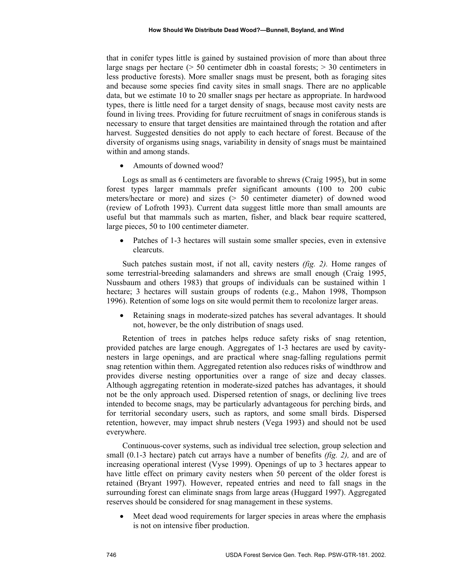that in conifer types little is gained by sustained provision of more than about three large snags per hectare (> 50 centimeter dbh in coastal forests; > 30 centimeters in less productive forests). More smaller snags must be present, both as foraging sites and because some species find cavity sites in small snags. There are no applicable data, but we estimate 10 to 20 smaller snags per hectare as appropriate. In hardwood types, there is little need for a target density of snags, because most cavity nests are found in living trees. Providing for future recruitment of snags in coniferous stands is necessary to ensure that target densities are maintained through the rotation and after harvest. Suggested densities do not apply to each hectare of forest. Because of the diversity of organisms using snags, variability in density of snags must be maintained within and among stands.

• Amounts of downed wood?

Logs as small as 6 centimeters are favorable to shrews (Craig 1995), but in some forest types larger mammals prefer significant amounts (100 to 200 cubic meters/hectare or more) and sizes (> 50 centimeter diameter) of downed wood (review of Lofroth 1993). Current data suggest little more than small amounts are useful but that mammals such as marten, fisher, and black bear require scattered, large pieces, 50 to 100 centimeter diameter.

Patches of 1-3 hectares will sustain some smaller species, even in extensive clearcuts.

Such patches sustain most, if not all, cavity nesters *(fig. 2).* Home ranges of some terrestrial-breeding salamanders and shrews are small enough (Craig 1995, Nussbaum and others 1983) that groups of individuals can be sustained within 1 hectare; 3 hectares will sustain groups of rodents (e.g., Mahon 1998, Thompson 1996). Retention of some logs on site would permit them to recolonize larger areas.

• Retaining snags in moderate-sized patches has several advantages. It should not, however, be the only distribution of snags used.

Retention of trees in patches helps reduce safety risks of snag retention, provided patches are large enough. Aggregates of 1-3 hectares are used by cavitynesters in large openings, and are practical where snag-falling regulations permit snag retention within them. Aggregated retention also reduces risks of windthrow and provides diverse nesting opportunities over a range of size and decay classes. Although aggregating retention in moderate-sized patches has advantages, it should not be the only approach used. Dispersed retention of snags, or declining live trees intended to become snags, may be particularly advantageous for perching birds, and for territorial secondary users, such as raptors, and some small birds. Dispersed retention, however, may impact shrub nesters (Vega 1993) and should not be used everywhere.

Continuous-cover systems, such as individual tree selection, group selection and small (0.1-3 hectare) patch cut arrays have a number of benefits *(fig. 2),* and are of increasing operational interest (Vyse 1999). Openings of up to 3 hectares appear to have little effect on primary cavity nesters when 50 percent of the older forest is retained (Bryant 1997). However, repeated entries and need to fall snags in the surrounding forest can eliminate snags from large areas (Huggard 1997). Aggregated reserves should be considered for snag management in these systems.

Meet dead wood requirements for larger species in areas where the emphasis is not on intensive fiber production.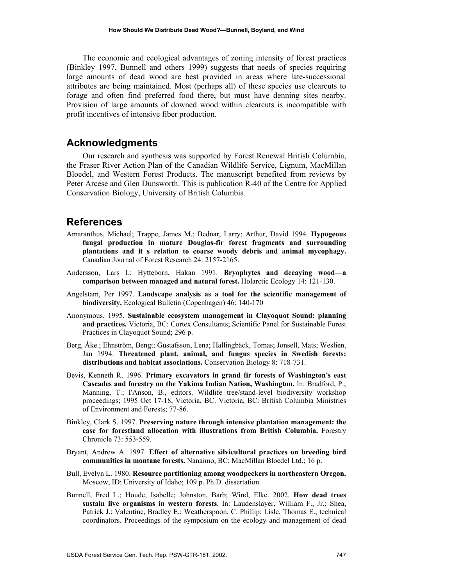The economic and ecological advantages of zoning intensity of forest practices (Binkley 1997, Bunnell and others 1999) suggests that needs of species requiring large amounts of dead wood are best provided in areas where late-successional attributes are being maintained. Most (perhaps all) of these species use clearcuts to forage and often find preferred food there, but must have denning sites nearby. Provision of large amounts of downed wood within clearcuts is incompatible with profit incentives of intensive fiber production.

### **Acknowledgments**

Our research and synthesis was supported by Forest Renewal British Columbia, the Fraser River Action Plan of the Canadian Wildlife Service, Lignum, MacMillan Bloedel, and Western Forest Products. The manuscript benefited from reviews by Peter Arcese and Glen Dunsworth. This is publication R-40 of the Centre for Applied Conservation Biology, University of British Columbia.

#### **References**

- Amaranthus, Michael; Trappe, James M.; Bednar, Larry; Arthur, David 1994. **Hypogeous fungal production in mature Douglas-fir forest fragments and surrounding plantations and it s relation to coarse woody debris and animal mycophagy.** Canadian Journal of Forest Research 24: 2157-2165.
- Andersson, Lars I.; Hytteborn, Hakan 1991. **Bryophytes and decaying wood—a comparison between managed and natural forest.** Holarctic Ecology 14: 121-130.
- Angelstam, Per 1997. **Landscape analysis as a tool for the scientific management of biodiversity.** Ecological Bulletin (Copenhagen) 46: 140-170
- Anonymous. 1995. **Sustainable ecosystem management in Clayoquot Sound: planning and practices.** Victoria, BC: Cortex Consultants; Scientific Panel for Sustainable Forest Practices in Clayoquot Sound; 296 p.
- Berg, Åke.; Ehnström, Bengt; Gustafsson, Lena; Hallingbäck, Tomas; Jonsell, Mats; Weslien, Jan 1994. **Threatened plant, animal, and fungus species in Swedish forests: distributions and habitat associations.** Conservation Biology 8: 718-731.
- Bevis, Kenneth R. 1996. **Primary excavators in grand fir forests of Washington's east Cascades and forestry on the Yakima Indian Nation, Washington.** In: Bradford, P.; Manning, T.; I'Anson, B., editors. Wildlife tree/stand-level biodiversity workshop proceedings; 1995 Oct 17-18, Victoria, BC. Victoria, BC: British Columbia Ministries of Environment and Forests; 77-86.
- Binkley, Clark S. 1997. **Preserving nature through intensive plantation management: the case for forestland allocation with illustrations from British Columbia.** Forestry Chronicle 73: 553-559.
- Bryant, Andrew A. 1997. **Effect of alternative silvicultural practices on breeding bird communities in montane forests.** Nanaimo, BC: MacMillan Bloedel Ltd.; 16 p.
- Bull, Evelyn L. 1980. **Resource partitioning among woodpeckers in northeastern Oregon.** Moscow, ID: University of Idaho; 109 p. Ph.D. dissertation.
- Bunnell, Fred L.; Houde, Isabelle; Johnston, Barb; Wind, Elke. 2002. **How dead trees sustain live organisms in western forests**. In: Laudenslayer, William F., Jr.; Shea, Patrick J.; Valentine, Bradley E.; Weatherspoon, C. Phillip; Lisle, Thomas E., technical coordinators. Proceedings of the symposium on the ecology and management of dead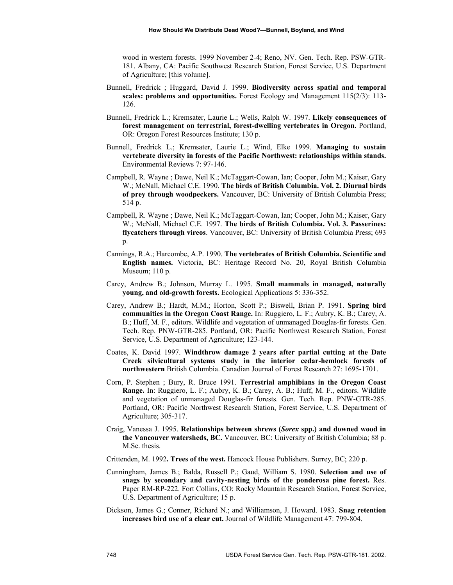wood in western forests. 1999 November 2-4; Reno, NV. Gen. Tech. Rep. PSW-GTR-181. Albany, CA: Pacific Southwest Research Station, Forest Service, U.S. Department of Agriculture; [this volume].

- Bunnell, Fredrick ; Huggard, David J. 1999. **Biodiversity across spatial and temporal scales: problems and opportunities.** Forest Ecology and Management 115(2/3): 113- 126.
- Bunnell, Fredrick L.; Kremsater, Laurie L.; Wells, Ralph W. 1997. **Likely consequences of forest management on terrestrial, forest-dwelling vertebrates in Oregon.** Portland, OR: Oregon Forest Resources Institute; 130 p.
- Bunnell, Fredrick L.; Kremsater, Laurie L.; Wind, Elke 1999. **Managing to sustain vertebrate diversity in forests of the Pacific Northwest: relationships within stands.** Environmental Reviews 7: 97-146.
- Campbell, R. Wayne ; Dawe, Neil K.; McTaggart-Cowan, Ian; Cooper, John M.; Kaiser, Gary W.; McNall, Michael C.E. 1990. **The birds of British Columbia. Vol. 2. Diurnal birds of prey through woodpeckers.** Vancouver, BC: University of British Columbia Press; 514 p.
- Campbell, R. Wayne ; Dawe, Neil K.; McTaggart-Cowan, Ian; Cooper, John M.; Kaiser, Gary W.; McNall, Michael C.E. 1997. **The birds of British Columbia. Vol. 3. Passerines: flycatchers through vireos**. Vancouver, BC: University of British Columbia Press; 693 p.
- Cannings, R.A.; Harcombe, A.P. 1990. **The vertebrates of British Columbia. Scientific and English names.** Victoria, BC: Heritage Record No. 20, Royal British Columbia Museum; 110 p.
- Carey, Andrew B.; Johnson, Murray L. 1995. **Small mammals in managed, naturally young, and old-growth forests.** Ecological Applications 5: 336-352.
- Carey, Andrew B.; Hardt, M.M.; Horton, Scott P.; Biswell, Brian P. 1991. **Spring bird communities in the Oregon Coast Range.** In: Ruggiero, L. F.; Aubry, K. B.; Carey, A. B.; Huff, M. F., editors. Wildlife and vegetation of unmanaged Douglas-fir forests. Gen. Tech. Rep. PNW-GTR-285. Portland, OR: Pacific Northwest Research Station, Forest Service, U.S. Department of Agriculture; 123-144.
- Coates, K. David 1997. **Windthrow damage 2 years after partial cutting at the Date Creek silvicultural systems study in the interior cedar-hemlock forests of northwestern** British Columbia. Canadian Journal of Forest Research 27: 1695-1701.
- Corn, P. Stephen ; Bury, R. Bruce 1991. **Terrestrial amphibians in the Oregon Coast Range.** In: Ruggiero, L. F.; Aubry, K. B.; Carey, A. B.; Huff, M. F., editors. Wildlife and vegetation of unmanaged Douglas-fir forests. Gen. Tech. Rep. PNW-GTR-285. Portland, OR: Pacific Northwest Research Station, Forest Service, U.S. Department of Agriculture; 305-317.
- Craig, Vanessa J. 1995. **Relationships between shrews (***Sorex* **spp.) and downed wood in the Vancouver watersheds, BC.** Vancouver, BC: University of British Columbia; 88 p. M.Sc. thesis.
- Crittenden, M. 1992**. Trees of the west.** Hancock House Publishers. Surrey, BC; 220 p.
- Cunningham, James B.; Balda, Russell P.; Gaud, William S. 1980. **Selection and use of snags by secondary and cavity-nesting birds of the ponderosa pine forest.** Res. Paper RM-RP-222. Fort Collins, CO: Rocky Mountain Research Station, Forest Service, U.S. Department of Agriculture; 15 p.
- Dickson, James G.; Conner, Richard N.; and Williamson, J. Howard. 1983. **Snag retention increases bird use of a clear cut.** Journal of Wildlife Management 47: 799-804.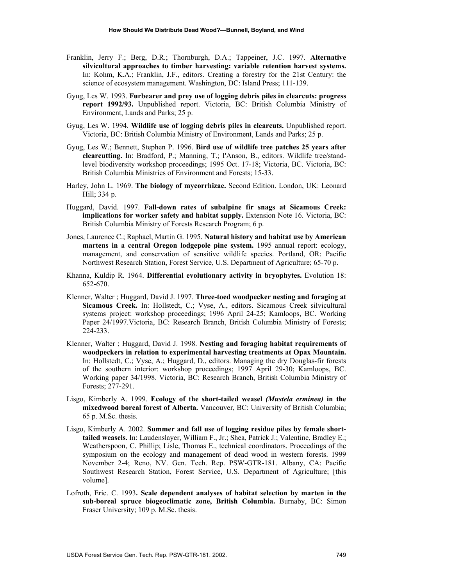- Franklin, Jerry F.; Berg, D.R.; Thornburgh, D.A.; Tappeiner, J.C. 1997. **Alternative silvicultural approaches to timber harvesting: variable retention harvest systems.** In: Kohm, K.A.; Franklin, J.F., editors. Creating a forestry for the 21st Century: the science of ecosystem management. Washington, DC: Island Press; 111-139.
- Gyug, Les W. 1993. **Furbearer and prey use of logging debris piles in clearcuts: progress report 1992/93.** Unpublished report. Victoria, BC: British Columbia Ministry of Environment, Lands and Parks; 25 p.
- Gyug, Les W. 1994. **Wildlife use of logging debris piles in clearcuts.** Unpublished report. Victoria, BC: British Columbia Ministry of Environment, Lands and Parks; 25 p.
- Gyug, Les W.; Bennett, Stephen P. 1996. **Bird use of wildlife tree patches 25 years after clearcutting.** In: Bradford, P.; Manning, T.; I'Anson, B., editors. Wildlife tree/standlevel biodiversity workshop proceedings; 1995 Oct. 17-18; Victoria, BC. Victoria, BC: British Columbia Ministries of Environment and Forests; 15-33.
- Harley, John L. 1969. **The biology of mycorrhizae.** Second Edition. London, UK: Leonard Hill; 334 p.
- Huggard, David. 1997. **Fall-down rates of subalpine fir snags at Sicamous Creek: implications for worker safety and habitat supply.** Extension Note 16. Victoria, BC: British Columbia Ministry of Forests Research Program; 6 p.
- Jones, Laurence C.; Raphael, Martin G. 1995. **Natural history and habitat use by American martens in a central Oregon lodgepole pine system.** 1995 annual report: ecology, management, and conservation of sensitive wildlife species. Portland, OR: Pacific Northwest Research Station, Forest Service, U.S. Department of Agriculture; 65-70 p.
- Khanna, Kuldip R. 1964. **Differential evolutionary activity in bryophytes.** Evolution 18: 652-670.
- Klenner, Walter ; Huggard, David J. 1997. **Three-toed woodpecker nesting and foraging at Sicamous Creek.** In: Hollstedt, C.; Vyse, A., editors. Sicamous Creek silvicultural systems project: workshop proceedings; 1996 April 24-25; Kamloops, BC. Working Paper 24/1997.Victoria, BC: Research Branch, British Columbia Ministry of Forests; 224-233.
- Klenner, Walter ; Huggard, David J. 1998. **Nesting and foraging habitat requirements of woodpeckers in relation to experimental harvesting treatments at Opax Mountain.** In: Hollstedt, C.; Vyse, A.; Huggard, D., editors. Managing the dry Douglas-fir forests of the southern interior: workshop proceedings; 1997 April 29-30; Kamloops, BC. Working paper 34/1998. Victoria, BC: Research Branch, British Columbia Ministry of Forests; 277-291.
- Lisgo, Kimberly A. 1999. **Ecology of the short-tailed weasel** *(Mustela erminea)* **in the mixedwood boreal forest of Alberta.** Vancouver, BC: University of British Columbia; 65 p. M.Sc. thesis.
- Lisgo, Kimberly A. 2002. **Summer and fall use of logging residue piles by female shorttailed weasels.** In: Laudenslayer, William F., Jr.; Shea, Patrick J.; Valentine, Bradley E.; Weatherspoon, C. Phillip; Lisle, Thomas E., technical coordinators. Proceedings of the symposium on the ecology and management of dead wood in western forests. 1999 November 2-4; Reno, NV. Gen. Tech. Rep. PSW-GTR-181. Albany, CA: Pacific Southwest Research Station, Forest Service, U.S. Department of Agriculture; [this volume].
- Lofroth, Eric. C. 1993**. Scale dependent analyses of habitat selection by marten in the sub-boreal spruce biogeoclimatic zone, British Columbia.** Burnaby, BC: Simon Fraser University; 109 p. M.Sc. thesis.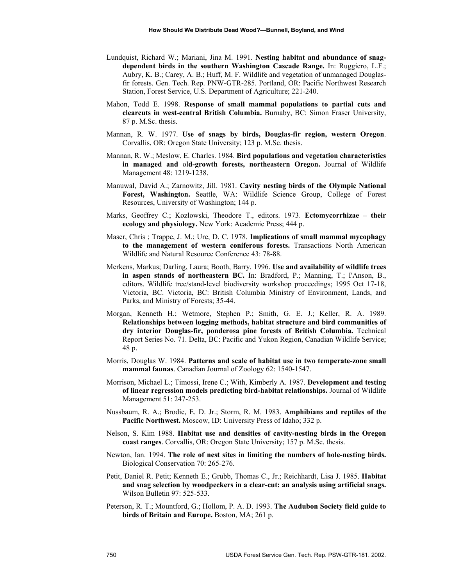- Lundquist, Richard W.; Mariani, Jina M. 1991. **Nesting habitat and abundance of snagdependent birds in the southern Washington Cascade Range.** In: Ruggiero, L.F.; Aubry, K. B.; Carey, A. B.; Huff, M. F. Wildlife and vegetation of unmanaged Douglasfir forests. Gen. Tech. Rep. PNW-GTR-285. Portland, OR: Pacific Northwest Research Station, Forest Service, U.S. Department of Agriculture; 221-240.
- Mahon, Todd E. 1998. **Response of small mammal populations to partial cuts and clearcuts in west-central British Columbia.** Burnaby, BC: Simon Fraser University, 87 p. M.Sc. thesis.
- Mannan, R. W. 1977. **Use of snags by birds, Douglas-fir region, western Oregon**. Corvallis, OR: Oregon State University; 123 p. M.Sc. thesis.
- Mannan, R. W.; Meslow, E. Charles. 1984. **Bird populations and vegetation characteristics in managed and** ol**d-growth forests, northeastern Oregon.** Journal of Wildlife Management 48: 1219-1238.
- Manuwal, David A.; Zarnowitz, Jill. 1981. **Cavity nesting birds of the Olympic National Forest, Washington.** Seattle, WA: Wildlife Science Group, College of Forest Resources, University of Washington; 144 p.
- Marks, Geoffrey C.; Kozlowski, Theodore T., editors. 1973. **Ectomycorrhizae their ecology and physiology.** New York: Academic Press; 444 p.
- Maser, Chris ; Trappe, J. M.; Ure, D. C. 1978. **Implications of small mammal mycophagy to the management of western coniferous forests.** Transactions North American Wildlife and Natural Resource Conference 43: 78-88.
- Merkens, Markus; Darling, Laura; Booth, Barry. 1996. **Use and availability of wildlife trees in aspen stands of northeastern BC.** In: Bradford, P.; Manning, T.; I'Anson, B., editors. Wildlife tree/stand-level biodiversity workshop proceedings; 1995 Oct 17-18, Victoria, BC. Victoria, BC: British Columbia Ministry of Environment, Lands, and Parks, and Ministry of Forests; 35-44.
- Morgan, Kenneth H.; Wetmore, Stephen P.; Smith, G. E. J.; Keller, R. A. 1989. **Relationships between logging methods, habitat structure and bird communities of dry interior Douglas-fir, ponderosa pine forests of British Columbia.** Technical Report Series No. 71. Delta, BC: Pacific and Yukon Region, Canadian Wildlife Service; 48 p.
- Morris, Douglas W. 1984. **Patterns and scale of habitat use in two temperate-zone small mammal faunas**. Canadian Journal of Zoology 62: 1540-1547.
- Morrison, Michael L.; Timossi, Irene C.; With, Kimberly A. 1987. **Development and testing of linear regression models predicting bird-habitat relationships.** Journal of Wildlife Management 51: 247-253.
- Nussbaum, R. A.; Brodie, E. D. Jr.; Storm, R. M. 1983. **Amphibians and reptiles of the Pacific Northwest.** Moscow, ID: University Press of Idaho; 332 p.
- Nelson, S. Kim 1988. **Habitat use and densities of cavity-nesting birds in the Oregon coast ranges**. Corvallis, OR: Oregon State University; 157 p. M.Sc. thesis.
- Newton, Ian. 1994. **The role of nest sites in limiting the numbers of hole-nesting birds.** Biological Conservation 70: 265-276.
- Petit, Daniel R. Petit; Kenneth E.; Grubb, Thomas C., Jr.; Reichhardt, Lisa J. 1985. **Habitat and snag selection by woodpeckers in a clear-cut: an analysis using artificial snags.** Wilson Bulletin 97: 525-533.
- Peterson, R. T.; Mountford, G.; Hollom, P. A. D. 1993. **The Audubon Society field guide to birds of Britain and Europe.** Boston, MA; 261 p.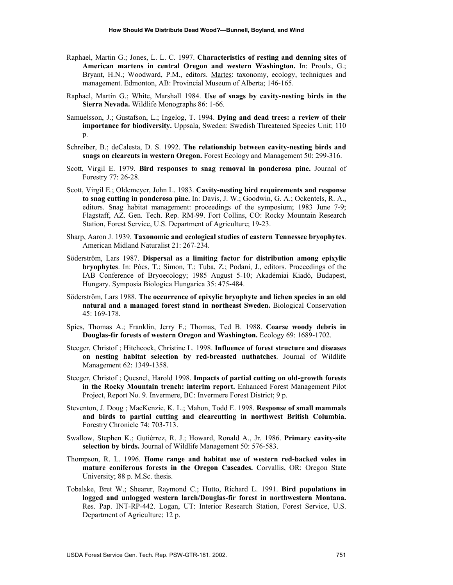- Raphael, Martin G.; Jones, L. L. C. 1997. **Characteristics of resting and denning sites of American martens in central Oregon and western Washington.** In: Proulx, G.; Bryant, H.N.; Woodward, P.M., editors. Martes: taxonomy, ecology, techniques and management. Edmonton, AB: Provincial Museum of Alberta; 146-165.
- Raphael, Martin G.; White, Marshall 1984. **Use of snags by cavity-nesting birds in the Sierra Nevada.** Wildlife Monographs 86: 1-66.
- Samuelsson, J.; Gustafson, L.; Ingelog, T. 1994. **Dying and dead trees: a review of their importance for biodiversity.** Uppsala, Sweden: Swedish Threatened Species Unit; 110 p.
- Schreiber, B.; deCalesta, D. S. 1992. **The relationship between cavity-nesting birds and snags on clearcuts in western Oregon.** Forest Ecology and Management 50: 299-316.
- Scott, Virgil E. 1979. **Bird responses to snag removal in ponderosa pine.** Journal of Forestry 77: 26-28.
- Scott, Virgil E.; Oldemeyer, John L. 1983. **Cavity-nesting bird requirements and response to snag cutting in ponderosa pine.** In: Davis, J. W.; Goodwin, G. A.; Ockentels, R. A., editors. Snag habitat management: proceedings of the symposium; 1983 June 7-9; Flagstaff, AZ. Gen. Tech. Rep. RM-99. Fort Collins, CO: Rocky Mountain Research Station, Forest Service, U.S. Department of Agriculture; 19-23.
- Sharp, Aaron J. 1939. **Taxonomic and ecological studies of eastern Tennessee bryophytes**. American Midland Naturalist 21: 267-234.
- Söderström, Lars 1987. **Dispersal as a limiting factor for distribution among epixylic bryophytes**. In: Pócs, T.; Simon, T.; Tuba, Z.; Podani, J., editors. Proceedings of the IAB Conference of Bryoecology; 1985 August 5-10; Akadémiai Kiadó, Budapest, Hungary. Symposia Biologica Hungarica 35: 475-484.
- Söderström, Lars 1988. **The occurrence of epixylic bryophyte and lichen species in an old natural and a managed forest stand in northeast Sweden.** Biological Conservation 45: 169-178.
- Spies, Thomas A.; Franklin, Jerry F.; Thomas, Ted B. 1988. **Coarse woody debris in Douglas-fir forests of western Oregon and Washington.** Ecology 69: 1689-1702.
- Steeger, Christof ; Hitchcock, Christine L. 1998. **Influence of forest structure and diseases on nesting habitat selection by red-breasted nuthatches**. Journal of Wildlife Management 62: 1349-1358.
- Steeger, Christof ; Quesnel, Harold 1998. **Impacts of partial cutting on old-growth forests in the Rocky Mountain trench: interim report.** Enhanced Forest Management Pilot Project, Report No. 9. Invermere, BC: Invermere Forest District; 9 p.
- Steventon, J. Doug ; MacKenzie, K. L.; Mahon, Todd E. 1998. **Response of small mammals and birds to partial cutting and clearcutting in northwest British Columbia.**  Forestry Chronicle 74: 703-713.
- Swallow, Stephen K.; Gutiérrez, R. J.; Howard, Ronald A., Jr. 1986. **Primary cavity-site selection by birds.** Journal of Wildlife Management 50: 576-583.
- Thompson, R. L. 1996. **Home range and habitat use of western red-backed voles in mature coniferous forests in the Oregon Cascades.** Corvallis, OR: Oregon State University; 88 p. M.Sc. thesis.
- Tobalske, Bret W.; Shearer, Raymond C.; Hutto, Richard L. 1991. **Bird populations in logged and unlogged western larch/Douglas-fir forest in northwestern Montana.** Res. Pap. INT-RP-442. Logan, UT: Interior Research Station, Forest Service, U.S. Department of Agriculture; 12 p.